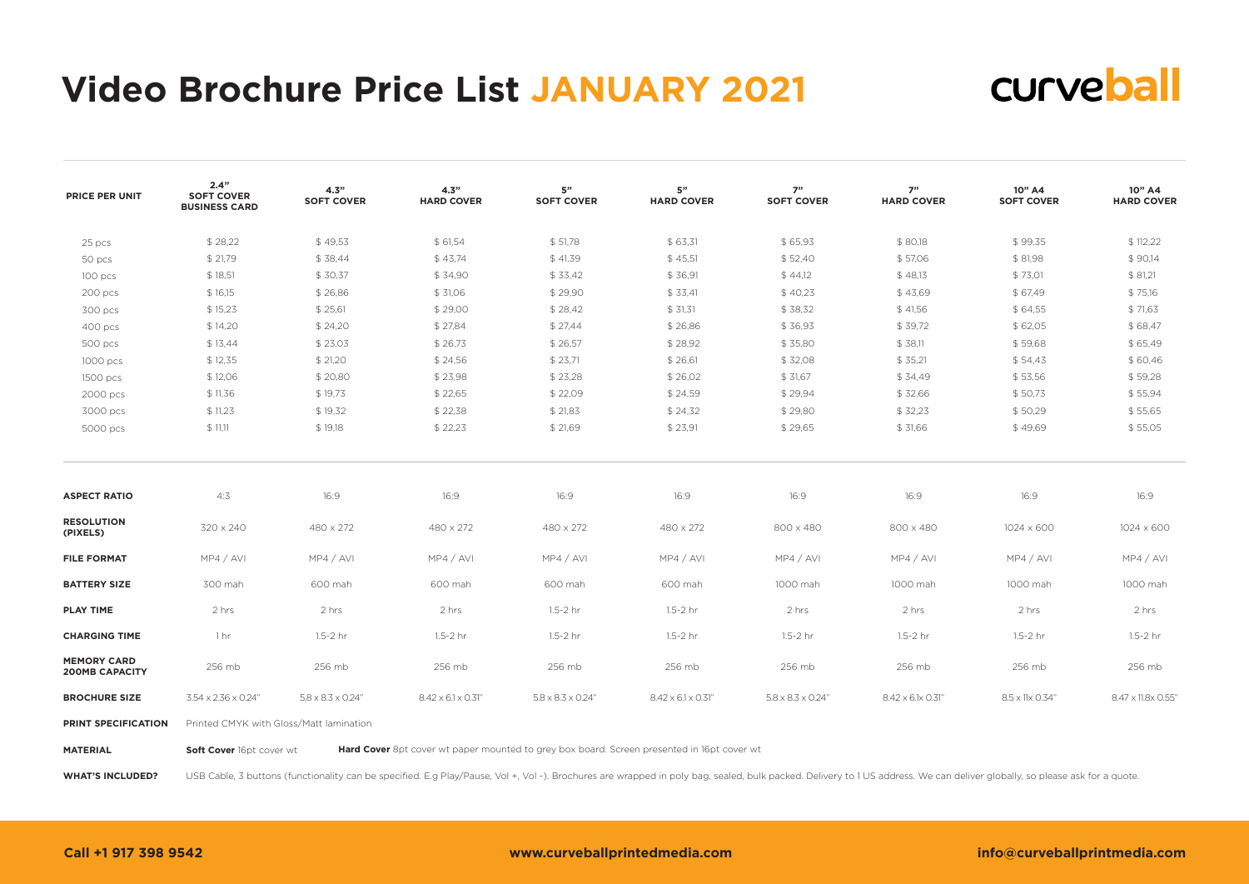# **Video Brochure Price List JANUARY 2021**



| <b>PRICE PER UNIT</b>                       | 2.4"<br><b>SOFT COVER</b><br><b>BUSINESS CARD</b> | 4.3"<br><b>SOFT COVER</b>      | 4.3"<br><b>HARD COVER</b>       | 5"<br><b>SOFT COVER</b>        | 5"<br><b>HARD COVER</b>         | 7"<br><b>SOFT COVER</b>        | 7"<br><b>HARD COVER</b> | 10" A4<br><b>SOFT COVER</b> | 10" A4<br><b>HARD COVER</b> |
|---------------------------------------------|---------------------------------------------------|--------------------------------|---------------------------------|--------------------------------|---------------------------------|--------------------------------|-------------------------|-----------------------------|-----------------------------|
| 25 pcs                                      | \$28,22                                           | \$49,53                        | \$ 61,54                        | \$51,78                        | \$63,31                         | \$65,93                        | \$80,18                 | \$99,35                     | \$112,22                    |
| 50 pcs                                      | \$21,79                                           | \$38,44                        | \$43,74                         | \$41,39                        | \$45,51                         | \$52,40                        | \$57,06                 | \$81,98                     | \$90,14                     |
| 100 pcs                                     | \$18,51                                           | \$30,37                        | \$34,90                         | \$33,42                        | \$36,91                         | \$44,12                        | \$48,13                 | \$73,01                     | \$81,21                     |
| 200 pcs                                     | \$16,15                                           | \$26,86                        | \$ 31,06                        | \$29,90                        | \$33,41                         | \$40,23                        | \$43,69                 | \$67,49                     | \$75,16                     |
| 300 pcs                                     | \$15,23                                           | \$25,61                        | \$29,00                         | \$28,42                        | \$31,31                         | \$38,32                        | \$41,56                 | \$64,55                     | \$71,63                     |
| 400 pcs                                     | \$14,20                                           | \$24,20                        | \$27,84                         | \$27,44                        | \$26,86                         | \$36,93                        | \$39,72                 | \$62,05                     | \$68,47                     |
| 500 pcs                                     | \$13,44                                           | \$23,03                        | \$26,73                         | \$26,57                        | \$28,92                         | \$35,80                        | \$38,11                 | \$59.68                     | \$65,49                     |
| 1000 pcs                                    | \$12,35                                           | \$21,20                        | \$24,56                         | \$23,71                        | \$26,61                         | \$32,08                        | \$35,21                 | \$54,43                     | \$60,46                     |
| 1500 pcs                                    | \$12,06                                           | \$20,80                        | \$23,98                         | \$23,28                        | \$26,02                         | \$31,67                        | \$34,49                 | \$53,56                     | \$59,28                     |
| 2000 pcs                                    | \$11,36                                           | \$19,73                        | \$22,65                         | \$22,09                        | \$24,59                         | \$29,94                        | \$32,66                 | \$50,73                     | \$55,94                     |
| 3000 pcs                                    | \$11,23                                           | \$19,32                        | \$22,38                         | \$21,83                        | \$24,32                         | \$29,80                        | \$32,23                 | \$50,29                     | \$55,65                     |
| 5000 pcs                                    | \$11,11                                           | \$19,18                        | \$22,23                         | \$21,69                        | \$23,91                         | \$29,65                        | \$ 31,66                | \$49.69                     | \$55,05                     |
| <b>ASPECT RATIO</b>                         | 4:3                                               | 16:9                           | 16:9                            | 16:9                           | 16:9                            | 16:9                           | 16:9                    | 16:9                        | 16:9                        |
| <b>RESOLUTION</b><br>(PIXELS)               | 320 x 240                                         | 480 x 272                      | 480 x 272                       | 480 x 272                      | 480 x 272                       | 800 x 480                      | 800 x 480               | $1024 \times 600$           | 1024 x 600                  |
| <b>FILE FORMAT</b>                          | MP4 / AVI                                         | MP4 / AVI                      | MP4 / AVI                       | MP4 / AVI                      | MP4 / AVI                       | MP4 / AVI                      | MP4 / AVI               | MP4 / AVI                   | MP4 / AVI                   |
| <b>BATTERY SIZE</b>                         | 300 mah                                           | 600 mah                        | 600 mah                         | 600 mah                        | 600 mah                         | 1000 mah                       | 1000 mah                | 1000 mah                    | 1000 mah                    |
| <b>PLAY TIME</b>                            | 2 hrs                                             | 2 hrs                          | 2 hrs                           | 1.5-2 hr                       | 1.5-2 hr                        | 2 hrs                          | 2 hrs                   | 2 hrs                       | 2 hrs                       |
| <b>CHARGING TIME</b>                        | 1 <sub>hr</sub>                                   | 1.5-2 hr                       | 1.5-2 hr                        | 1.5-2 hr                       | $1.5 - 2$ hr                    | 1.5-2 hr                       | 1.5-2 hr                | $1.5 - 2$ hr                | 1.5-2 hr                    |
| <b>MEMORY CARD</b><br><b>200MB CAPACITY</b> | 256 mb                                            | 256 mb                         | 256 mb                          | 256 mb                         | 256 mb                          | 256 mb                         | 256 mb                  | 256 mb                      | 256 mb                      |
| <b>BROCHURE SIZE</b>                        | 3.54 x 2.36 x 0.24"                               | $5.8 \times 8.3 \times 0.24$ " | $8.42 \times 6.1 \times 0.31$ " | $5.8 \times 8.3 \times 0.24$ " | $8.42 \times 6.1 \times 0.31$ " | $5.8 \times 8.3 \times 0.24$ " | 8.42 x 6.1x 0.31"       | 8.5 x 11x 0.34"             | 8.47 x 11.8x 0.55'          |
| PRINT SPECIFICATION                         | Printed CMYK with Gloss/Matt lamination           |                                |                                 |                                |                                 |                                |                         |                             |                             |

**Soft Cover** 16pt cover wt **Hard Cover** 8pt cover wt paper mounted to grey box board. Screen presented in 16pt cover wt **MATERIAL**

USB Cable, 3 buttons (functionality can be specified. E.g Play/Pause, Vol +, Vol -). Brochures are wrapped in poly bag, sealed, bulk packed. Delivery to 1 US address. We can deliver globally, so please ask for a quote. **WHAT'S INCLUDED?**